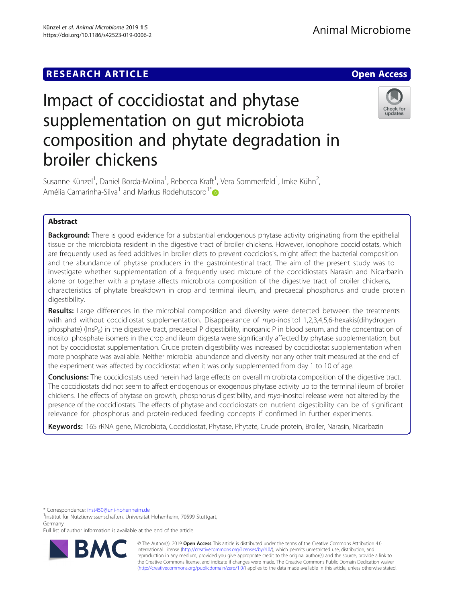# Impact of coccidiostat and phytase supplementation on gut microbiota composition and phytate degradation in broiler chickens



Susanne Künzel<sup>1</sup>, Daniel Borda-Molina<sup>1</sup>, Rebecca Kraft<sup>1</sup>, Vera Sommerfeld<sup>1</sup>, Imke Kühn<sup>2</sup> , Amélia Camarinha-Silva<sup>1</sup> and Markus Rodehutscord<sup>1[\\*](http://orcid.org/0000-0003-3156-7889)</sup>

# Abstract

**Background:** There is good evidence for a substantial endogenous phytase activity originating from the epithelial tissue or the microbiota resident in the digestive tract of broiler chickens. However, ionophore coccidiostats, which are frequently used as feed additives in broiler diets to prevent coccidiosis, might affect the bacterial composition and the abundance of phytase producers in the gastrointestinal tract. The aim of the present study was to investigate whether supplementation of a frequently used mixture of the coccidiostats Narasin and Nicarbazin alone or together with a phytase affects microbiota composition of the digestive tract of broiler chickens, characteristics of phytate breakdown in crop and terminal ileum, and precaecal phosphorus and crude protein digestibility.

Results: Large differences in the microbial composition and diversity were detected between the treatments with and without coccidiostat supplementation. Disappearance of myo-inositol 1,2,3,4,5,6-hexakis(dihydrogen phosphate) (InsP<sub>6</sub>) in the digestive tract, precaecal P digestibility, inorganic P in blood serum, and the concentration of inositol phosphate isomers in the crop and ileum digesta were significantly affected by phytase supplementation, but not by coccidiostat supplementation. Crude protein digestibility was increased by coccidiostat supplementation when more phosphate was available. Neither microbial abundance and diversity nor any other trait measured at the end of the experiment was affected by coccidiostat when it was only supplemented from day 1 to 10 of age.

Conclusions: The coccidiostats used herein had large effects on overall microbiota composition of the digestive tract. The coccidiostats did not seem to affect endogenous or exogenous phytase activity up to the terminal ileum of broiler chickens. The effects of phytase on growth, phosphorus digestibility, and myo-inositol release were not altered by the presence of the coccidiostats. The effects of phytase and coccidiostats on nutrient digestibility can be of significant relevance for phosphorus and protein-reduced feeding concepts if confirmed in further experiments.

Keywords: 16S rRNA gene, Microbiota, Coccidiostat, Phytase, Phytate, Crude protein, Broiler, Narasin, Nicarbazin

\* Correspondence: [inst450@uni-hohenheim.de](mailto:inst450@uni-hohenheim.de) <sup>1</sup>

<sup>1</sup>Institut für Nutztierwissenschaften, Universität Hohenheim, 70599 Stuttgart, Germany

Full list of author information is available at the end of the article



© The Author(s). 2019 **Open Access** This article is distributed under the terms of the Creative Commons Attribution 4.0 International License [\(http://creativecommons.org/licenses/by/4.0/](http://creativecommons.org/licenses/by/4.0/)), which permits unrestricted use, distribution, and reproduction in any medium, provided you give appropriate credit to the original author(s) and the source, provide a link to the Creative Commons license, and indicate if changes were made. The Creative Commons Public Domain Dedication waiver [\(http://creativecommons.org/publicdomain/zero/1.0/](http://creativecommons.org/publicdomain/zero/1.0/)) applies to the data made available in this article, unless otherwise stated.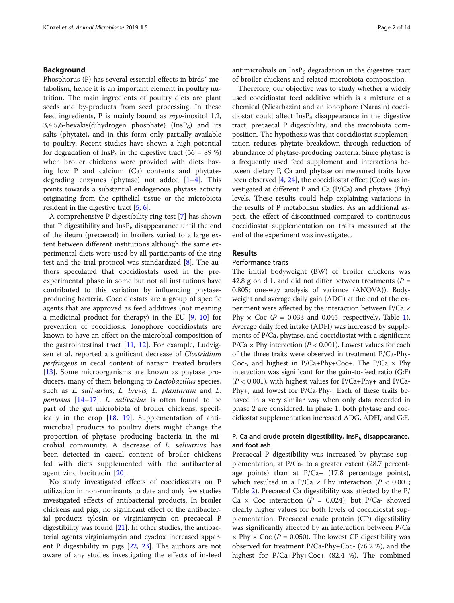# Background

Phosphorus (P) has several essential effects in birds´ metabolism, hence it is an important element in poultry nutrition. The main ingredients of poultry diets are plant seeds and by-products from seed processing. In these feed ingredients, P is mainly bound as myo-inositol 1,2, 3,4,5,6-hexakis(dihydrogen phosphate) (Ins $P_6$ ) and its salts (phytate), and in this form only partially available to poultry. Recent studies have shown a high potential for degradation of InsP<sub>6</sub> in the digestive tract (56 – 89 %) when broiler chickens were provided with diets having low P and calcium (Ca) contents and phytatedegrading enzymes (phytase) not added  $[1-4]$  $[1-4]$  $[1-4]$  $[1-4]$ . This points towards a substantial endogenous phytase activity originating from the epithelial tissue or the microbiota resident in the digestive tract [\[5,](#page-12-0) [6](#page-12-0)].

A comprehensive P digestibility ring test [[7\]](#page-12-0) has shown that P digestibility and  $InsP<sub>6</sub>$  disappearance until the end of the ileum (precaecal) in broilers varied to a large extent between different institutions although the same experimental diets were used by all participants of the ring test and the trial protocol was standardized [[8\]](#page-12-0). The authors speculated that coccidiostats used in the preexperimental phase in some but not all institutions have contributed to this variation by influencing phytaseproducing bacteria. Coccidiostats are a group of specific agents that are approved as feed additives (not meaning a medicinal product for therapy) in the EU [\[9](#page-12-0), [10](#page-12-0)] for prevention of coccidiosis. Ionophore coccidiostats are known to have an effect on the microbial composition of the gastrointestinal tract  $[11, 12]$  $[11, 12]$  $[11, 12]$  $[11, 12]$ . For example, Ludvigsen et al. reported a significant decrease of Clostridium perfringens in cecal content of narasin treated broilers [[13\]](#page-12-0). Some microorganisms are known as phytase producers, many of them belonging to Lactobacillus species, such as L. salivarius, L. brevis, L. plantarum and L. pentosus  $[14-17]$  $[14-17]$  $[14-17]$  $[14-17]$  $[14-17]$ . L. salivarius is often found to be part of the gut microbiota of broiler chickens, specifically in the crop [[18,](#page-12-0) [19](#page-12-0)]. Supplementation of antimicrobial products to poultry diets might change the proportion of phytase producing bacteria in the microbial community. A decrease of L. salivarius has been detected in caecal content of broiler chickens fed with diets supplemented with the antibacterial agent zinc bacitracin [\[20](#page-12-0)].

No study investigated effects of coccidiostats on P utilization in non-ruminants to date and only few studies investigated effects of antibacterial products. In broiler chickens and pigs, no significant effect of the antibacterial products tylosin or virginiamycin on precaecal P digestibility was found [\[21](#page-12-0)]. In other studies, the antibacterial agents virginiamycin and cyadox increased apparent P digestibility in pigs [[22,](#page-13-0) [23\]](#page-13-0). The authors are not aware of any studies investigating the effects of in-feed antimicrobials on  $InsP_6$  degradation in the digestive tract of broiler chickens and related microbiota composition.

Therefore, our objective was to study whether a widely used coccidiostat feed additive which is a mixture of a chemical (Nicarbazin) and an ionophore (Narasin) coccidiostat could affect  $InsP_6$  disappearance in the digestive tract, precaecal P digestibility, and the microbiota composition. The hypothesis was that coccidiostat supplementation reduces phytate breakdown through reduction of abundance of phytase-producing bacteria. Since phytase is a frequently used feed supplement and interactions between dietary P, Ca and phytase on measured traits have been observed [\[4,](#page-12-0) [24](#page-13-0)], the coccidiostat effect (Coc) was investigated at different P and Ca (P/Ca) and phytase (Phy) levels. These results could help explaining variations in the results of P metabolism studies. As an additional aspect, the effect of discontinued compared to continuous coccidiostat supplementation on traits measured at the end of the experiment was investigated.

# Results

# Performance traits

The initial bodyweight (BW) of broiler chickens was 42.8 g on d 1, and did not differ between treatments ( $P =$ 0.805; one-way analysis of variance (ANOVA)). Bodyweight and average daily gain (ADG) at the end of the experiment were affected by the interaction between P/Ca × Phy  $\times$  Coc (P = 0.033 and 0.045, respectively, Table [1](#page-2-0)). Average daily feed intake (ADFI) was increased by supplements of P/Ca, phytase, and coccidiostat with a significant  $P/Ca \times Phy$  interaction ( $P < 0.001$ ). Lowest values for each of the three traits were observed in treatment P/Ca-Phy-Coc-, and highest in  $P/Ca+Phy+Coc+$ . The  $P/Ca \times Phy$ interaction was significant for the gain-to-feed ratio (G:F)  $(P < 0.001)$ , with highest values for  $P/Ca+Phy+$  and  $P/Ca-$ Phy+, and lowest for P/Ca-Phy-. Each of these traits behaved in a very similar way when only data recorded in phase 2 are considered. In phase 1, both phytase and coccidiostat supplementation increased ADG, ADFI, and G:F.

# P, Ca and crude protein digestibility,  $\text{InsP}_6$  disappearance, and foot ash

Precaecal P digestibility was increased by phytase supplementation, at P/Ca- to a greater extent (28.7 percentage points) than at P/Ca+ (17.8 percentage points), which resulted in a  $P/Ca \times Phy$  interaction ( $P < 0.001$ ; Table [2\)](#page-3-0). Precaecal Ca digestibility was affected by the P/ Ca  $\times$  Coc interaction (P = 0.024), but P/Ca- showed clearly higher values for both levels of coccidiostat supplementation. Precaecal crude protein (CP) digestibility was significantly affected by an interaction between P/Ca  $\times$  Phy  $\times$  Coc (P = 0.050). The lowest CP digestibility was observed for treatment P/Ca-Phy+Coc- (76.2 %), and the highest for P/Ca+Phy+Coc+ (82.4 %). The combined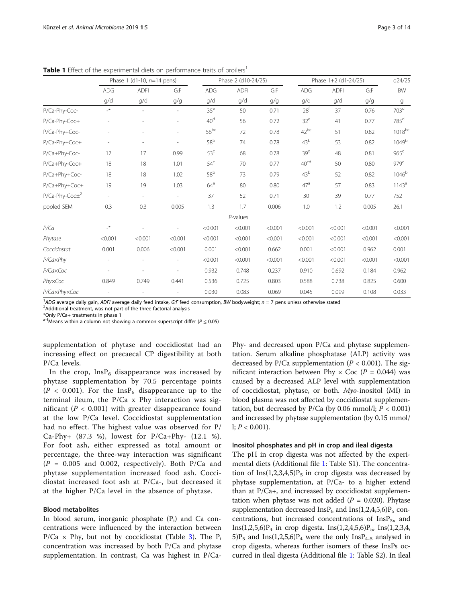|                    | Phase 1 (d1-10, $n=14$ pens) |                |                          | Phase 2 (d10-24/25) |             |         | Phase 1+2 (d1-24/25) |             |         | d24/25             |
|--------------------|------------------------------|----------------|--------------------------|---------------------|-------------|---------|----------------------|-------------|---------|--------------------|
|                    | <b>ADG</b><br>q/d            | <b>ADFI</b>    | G:F                      | ADG                 | <b>ADFI</b> | G:F     | ADG                  | <b>ADFI</b> | G:F     | <b>BW</b>          |
|                    |                              | q/d            | g/g                      | q/d                 | g/d         | g/g     | q/d                  | g/d         | g/g     | g                  |
| P/Ca-Phy-Coc-      | $\mathcal{N}_{-}$            | $\overline{a}$ | $\overline{\phantom{a}}$ | 35 <sup>e</sup>     | 50          | 0.71    | 28 <sup>f</sup>      | 37          | 0.76    | 703 <sup>d</sup>   |
| P/Ca-Phy-Coc+      |                              |                |                          | 40 <sup>d</sup>     | 56          | 0.72    | $32^e$               | 41          | 0.77    | $785$ <sup>d</sup> |
| P/Ca-Phy+Coc-      |                              |                |                          | $56^{bc}$           | 72          | 0.78    | $42^{bc}$            | 51          | 0.82    | 1018bc             |
| P/Ca-Phy+Coc+      |                              | ٠              |                          | 58 <sup>b</sup>     | 74          | 0.78    | 43 <sup>b</sup>      | 53          | 0.82    | 1049 <sup>b</sup>  |
| P/Ca+Phy-Coc-      | 17                           | 17             | 0.99                     | 53 <sup>c</sup>     | 68          | 0.78    | 39 <sup>d</sup>      | 48          | 0.81    | 965 <sup>c</sup>   |
| P/Ca+Phy-Coc+      | 18                           | 18             | 1.01                     | 54 <sup>c</sup>     | 70          | 0.77    | 40 <sup>cd</sup>     | 50          | 0.80    | 979 <sup>c</sup>   |
| P/Ca+Phy+Coc-      | 18                           | 18             | 1.02                     | $58^{\rm b}$        | 73          | 0.79    | 43 <sup>b</sup>      | 52          | 0.82    | 1046 <sup>b</sup>  |
| P/Ca+Phy+Coc+      | 19                           | 19             | 1.03                     | 64 <sup>a</sup>     | 80          | 0.80    | 47 <sup>a</sup>      | 57          | 0.83    | 1143 <sup>a</sup>  |
| $P/Ca-Phy-Coc\pm2$ | $\sim$                       | $\sim$         |                          | 37                  | 52          | 0.71    | 30                   | 39          | 0.77    | 752                |
| pooled SEM         | 0.3                          | 0.3            | 0.005                    | 1.3                 | 1.7         | 0.006   | 1.0                  | 1.2         | 0.005   | 26.1               |
|                    |                              |                |                          |                     | $P$ -values |         |                      |             |         |                    |
| P/Ca               | $\mathbf{H}^*$               |                |                          | < 0.001             | < 0.001     | < 0.001 | < 0.001              | < 0.001     | < 0.001 | < 0.001            |
| Phytase            | < 0.001                      | < 0.001        | < 0.001                  | < 0.001             | < 0.001     | < 0.001 | < 0.001              | < 0.001     | < 0.001 | < 0.001            |
| Coccidostat        | 0.001                        | 0.006          | < 0.001                  | 0.001               | < 0.001     | 0.662   | 0.001                | < 0.001     | 0.962   | 0.001              |
| P/CaxPhy           |                              |                | ٠                        | < 0.001             | < 0.001     | < 0.001 | < 0.001              | < 0.001     | < 0.001 | < 0.001            |
| P/CaxCoc           |                              |                |                          | 0.932               | 0.748       | 0.237   | 0.910                | 0.692       | 0.184   | 0.962              |
| PhyxCoc            | 0.849                        | 0.749          | 0.441                    | 0.536               | 0.725       | 0.803   | 0.588                | 0.738       | 0.825   | 0.600              |
| P/CaxPhyxCoc       |                              |                |                          | 0.030               | 0.083       | 0.069   | 0.045                | 0.099       | 0.108   | 0.033              |

<span id="page-2-0"></span>Table 1 Effect of the experimental diets on performance traits of broilers<sup>1</sup>

<sup>1</sup>ADG average daily gain, ADFI average daily feed intake, G:F feed consumption, BW bodyweight; n = 7 pens unless otherwise stated  $\frac{2}{3}$ 

<sup>2</sup> Additional treatment, was not part of the three-factorial analysis

\*Only P/Ca+ treatments in phase 1

 $^{\text{a-f}}$ Means within a column not showing a common superscript differ (P  $\leq$  0.05)

supplementation of phytase and coccidiostat had an increasing effect on precaecal CP digestibility at both P/Ca levels.

In the crop,  $InsP_6$  disappearance was increased by phytase supplementation by 70.5 percentage points  $(P < 0.001)$ . For the InsP<sub>6</sub> disappearance up to the terminal ileum, the P/Ca x Phy interaction was significant ( $P < 0.001$ ) with greater disappearance found at the low P/Ca level. Coccidiostat supplementation had no effect. The highest value was observed for P/  $Ca-Phy+$  (87.3 %), lowest for  $P/Ca+Phy-$  (12.1 %). For foot ash, either expressed as total amount or percentage, the three-way interaction was significant  $(P = 0.005$  and 0.002, respectively). Both P/Ca and phytase supplementation increased food ash. Coccidiostat increased foot ash at P/Ca-, but decreased it at the higher P/Ca level in the absence of phytase.

#### Blood metabolites

In blood serum, inorganic phosphate  $(P_i)$  and Ca concentrations were influenced by the interaction between  $P/Ca \times Phy$ , but not by coccidiostat (Table [3](#page-4-0)). The P<sub>i</sub> concentration was increased by both P/Ca and phytase supplementation. In contrast, Ca was highest in P/Ca-

Phy- and decreased upon P/Ca and phytase supplementation. Serum alkaline phosphatase (ALP) activity was decreased by P/Ca supplementation ( $P < 0.001$ ). The significant interaction between Phy  $\times$  Coc (P = 0.044) was caused by a decreased ALP level with supplementation of coccidiostat, phytase, or both. Myo-inositol (MI) in blood plasma was not affected by coccidiostat supplementation, but decreased by  $P/Ca$  (by 0.06 mmol/l;  $P < 0.001$ ) and increased by phytase supplementation (by 0.15 mmol/ l;  $P < 0.001$ ).

### Inositol phosphates and pH in crop and ileal digesta

The pH in crop digesta was not affected by the experimental diets (Additional file [1](#page-12-0): Table S1). The concentration of Ins(1,2,3,4,5) $P_5$  in crop digesta was decreased by phytase supplementation, at P/Ca- to a higher extend than at P/Ca+, and increased by coccidiostat supplementation when phytase was not added ( $P = 0.020$ ). Phytase supplementation decreased Ins $P_6$  and Ins(1,2,4,5,6) $P_5$  concentrations, but increased concentrations of  $InsP_{3x}$  and  $Ins(1,2,5,6)P_4$  in crop digesta.  $Ins(1,2,4,5,6)P_5$ ,  $Ins(1,2,3,4,$  $5)P_5$  and Ins(1,2,5,6) $P_4$  were the only Ins $P_{4-5}$  analysed in crop digesta, whereas further isomers of these InsPs occurred in ileal digesta (Additional file [1](#page-12-0): Table S2). In ileal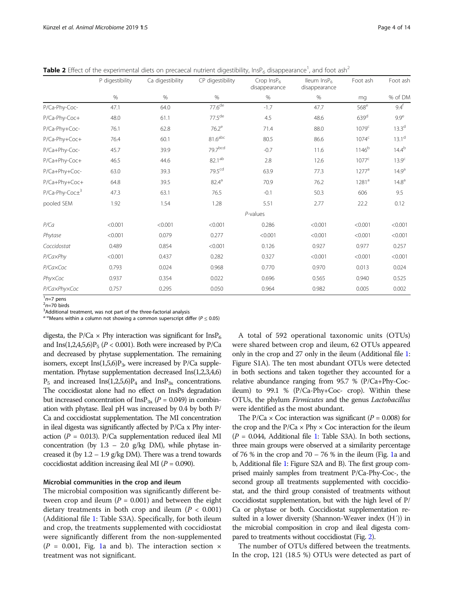<span id="page-3-0"></span>Table 2 Effect of the experimental diets on precaecal nutrient digestibility, InsP<sub>6</sub> disappearance<sup>1</sup>, and foot ash<sup>2</sup>

|                    | P digestibility | Ca digestibility | CP digestibility      | Crop $InsP6$<br>disappearance | lleum InsP <sub>6</sub><br>disappearance | Foot ash          | Foot ash          |
|--------------------|-----------------|------------------|-----------------------|-------------------------------|------------------------------------------|-------------------|-------------------|
|                    | %               | $\%$             | $\%$                  | $\%$                          | $\%$                                     | mq                | % of DM           |
| P/Ca-Phy-Coc-      | 47.1            | 64.0             | 77.6 <sup>de</sup>    | $-1.7$                        | 47.7                                     | $568^e$           | 9.4 <sup>f</sup>  |
| P/Ca-Phy-Coc+      | 48.0            | 61.1             | 77.5 <sup>de</sup>    | 4.5                           | 48.6                                     | 639 <sup>d</sup>  | 9.9 <sup>e</sup>  |
| P/Ca-Phy+Coc-      | 76.1            | 62.8             | $76.2^e$              | 71.4                          | 88.0                                     | 1079 <sup>c</sup> | $13.3^{d}$        |
| P/Ca-Phy+Coc+      | 76.4            | 60.1             | $81.6$ <sup>abc</sup> | 80.5                          | 86.6                                     | 1074 <sup>c</sup> | 13.1 <sup>d</sup> |
| P/Ca+Phy-Coc-      | 45.7            | 39.9             | 79.7bcd               | $-0.7$                        | 11.6                                     | $1146^{b}$        | $14.4^{b}$        |
| P/Ca+Phy-Coc+      | 46.5            | 44.6             | 82.1 <sup>ab</sup>    | 2.8                           | 12.6                                     | $1077^{\circ}$    | 13.9 <sup>c</sup> |
| P/Ca+Phy+Coc-      | 63.0            | 39.3             | 79.5 <sup>cd</sup>    | 63.9                          | 77.3                                     | $1277^a$          | 14.9 <sup>a</sup> |
| P/Ca+Phy+Coc+      | 64.8            | 39.5             | $82.4^{\circ}$        | 70.9                          | 76.2                                     | 1281 <sup>a</sup> | 14.8 <sup>a</sup> |
| $P/Ca-Phy-Coc\pm3$ | 47.3            | 63.1             | 76.5                  | $-0.1$                        | 50.3                                     | 606               | 9.5               |
| pooled SEM         | 1.92            | 1.54             | 1.28                  | 5.51                          | 2.77                                     | 22.2              | 0.12              |
|                    |                 |                  |                       | $P$ -values                   |                                          |                   |                   |
| P/Ca               | < 0.001         | < 0.001          | < 0.001               | 0.286                         | < 0.001                                  | < 0.001           | < 0.001           |
| Phytase            | < 0.001         | 0.079            | 0.277                 | < 0.001                       | < 0.001                                  | < 0.001           | < 0.001           |
| Coccidostat        | 0.489           | 0.854            | < 0.001               | 0.126                         | 0.927                                    | 0.977             | 0.257             |
| P/CaxPhy           | < 0.001         | 0.437            | 0.282                 | 0.327                         | < 0.001                                  | < 0.001           | < 0.001           |
| P/CaxCoc           | 0.793           | 0.024            | 0.968                 | 0.770                         | 0.970                                    | 0.013             | 0.024             |
| PhyxCoc            | 0.937           | 0.354            | 0.022                 | 0.696                         | 0.565                                    | 0.940             | 0.525             |
| P/CaxPhyxCoc       | 0.757           | 0.295            | 0.050                 | 0.964                         | 0.982                                    | 0.005             | 0.002             |

 $n=7$  pens<br> $n=70$  bire  $n=70$  birds

<sup>3</sup>Additional treatment, was not part of the three-factorial analysis

 $a-e$ Means within a column not showing a common superscript differ ( $P \le 0.05$ )

digesta, the P/Ca  $\times$  Phy interaction was significant for InsP<sub>6</sub> and Ins(1,2,4,5,6) $P_5$  ( $P < 0.001$ ). Both were increased by P/Ca and decreased by phytase supplementation. The remaining isomers, except  $Ins(1,5,6)P_3$ , were increased by P/Ca supplementation. Phytase supplementation decreased Ins(1,2,3,4,6)  $P_5$  and increased Ins(1,2,5,6) $P_4$  and Ins $P_{3x}$  concentrations. The coccidiostat alone had no effect on InsPs degradation but increased concentration of  $InsP_{3x}$  ( $P = 0.049$ ) in combination with phytase. Ileal pH was increased by 0.4 by both P/ Ca and coccidiostat supplementation. The MI concentration in ileal digesta was significantly affected by P/Ca x Phy interaction ( $P = 0.013$ ). P/Ca supplementation reduced ileal MI concentration (by  $1.3 - 2.0$  g/kg DM), while phytase increased it (by  $1.2 - 1.9$  g/kg DM). There was a trend towards coccidiostat addition increasing ileal MI ( $P = 0.090$ ).

### Microbial communities in the crop and ileum

The microbial composition was significantly different between crop and ileum ( $P = 0.001$ ) and between the eight dietary treatments in both crop and ileum ( $P < 0.001$ ) (Additional file [1](#page-12-0): Table S3A). Specifically, for both ileum and crop, the treatments supplemented with coccidiostat were significantly different from the non-supplemented  $(P = 0.001,$  Fig. [1a](#page-4-0) and b). The interaction section  $\times$ treatment was not significant.

A total of 592 operational taxonomic units (OTUs) were shared between crop and ileum, 62 OTUs appeared only in the crop and 27 only in the ileum (Additional file [1](#page-12-0): Figure S1A). The ten most abundant OTUs were detected in both sections and taken together they accounted for a relative abundance ranging from 95.7 % (P/Ca+Phy-Cocileum) to 99.1 % (P/Ca-Phy+Coc- crop). Within these OTUs, the phylum Firmicutes and the genus Lactobacillus were identified as the most abundant.

The P/Ca  $\times$  Coc interaction was significant (P = 0.008) for the crop and the  $P/Ca \times Phy \times Coc$  interaction for the ileum  $(P = 0.044,$  Additional file [1:](#page-12-0) Table S3A). In both sections, three main groups were observed at a similarity percentage of 76 % in the crop and 70 – 76 % in the ileum (Fig. [1](#page-4-0)a and b, Additional file [1](#page-12-0): Figure S2A and B). The first group comprised mainly samples from treatment P/Ca-Phy-Coc-, the second group all treatments supplemented with coccidiostat, and the third group consisted of treatments without coccidiostat supplementation, but with the high level of P/ Ca or phytase or both. Coccidiostat supplementation resulted in a lower diversity (Shannon-Weaver index (H´)) in the microbial composition in crop and ileal digesta compared to treatments without coccidiostat (Fig. [2\)](#page-5-0).

The number of OTUs differed between the treatments. In the crop, 121 (18.5 %) OTUs were detected as part of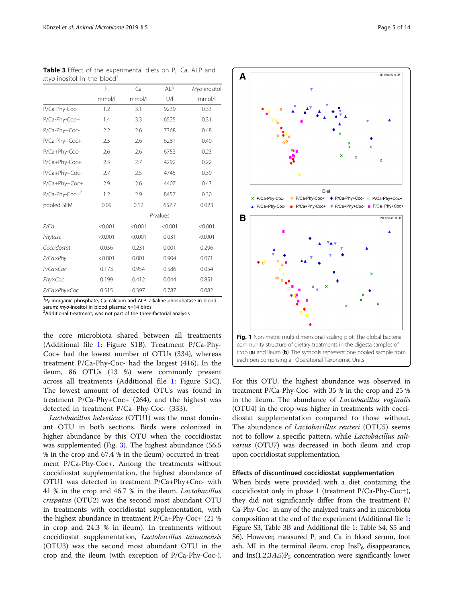P/CaxPhyxCoc 0.515 0.397 0.787 0.082 <sup>1</sup>P<sub>i</sub>: inorganic phosphate, Ca: calcium and ALP: alkaline phosphatase in blood serum; myo-inositol in blood plasma;  $n=14$  birds

P/CaxPhy <0.001 0.001 0.904 0.071 P/Ca×Coc 0.173 0.954 0.586 0.054 Phy×Coc 0.199 0.412 0.044 0.851

<sup>2</sup>Additional treatment, was not part of the three-factorial analysis

the core microbiota shared between all treatments (Additional file [1](#page-12-0): Figure S1B). Treatment P/Ca-Phy-Coc+ had the lowest number of OTUs (334), whereas treatment P/Ca-Phy-Coc- had the largest (416). In the ileum, 86 OTUs (13 %) were commonly present across all treatments (Additional file [1:](#page-12-0) Figure S1C). The lowest amount of detected OTUs was found in treatment P/Ca-Phy+Coc+ (264), and the highest was detected in treatment P/Ca+Phy-Coc- (333).

Lactobacillus helveticus (OTU1) was the most dominant OTU in both sections. Birds were colonized in higher abundance by this OTU when the coccidiostat was supplemented (Fig. [3\)](#page-6-0). The highest abundance (56.5 % in the crop and 67.4 % in the ileum) occurred in treatment P/Ca-Phy-Coc+. Among the treatments without coccidiostat supplementation, the highest abundance of OTU1 was detected in treatment P/Ca+Phy+Coc- with 41 % in the crop and 46.7 % in the ileum. Lactobacillus crispatus (OTU2) was the second most abundant OTU in treatments with coccidiostat supplementation, with the highest abundance in treatment P/Ca+Phy-Coc+ (21 % in crop and 24.3 % in ileum). In treatments without coccidiostat supplementation, Lactobacillus taiwanensis (OTU3) was the second most abundant OTU in the crop and the ileum (with exception of P/Ca-Phy-Coc-). For this OTU, the highest abundance was observed in treatment P/Ca-Phy-Coc- with 35 % in the crop and 25 % in the ileum. The abundance of *Lactobacillus vaginalis* (OTU4) in the crop was higher in treatments with coccidiostat supplementation compared to those without. The abundance of Lactobacillus reuteri (OTU5) seems not to follow a specific pattern, while Lactobacillus salivarius (OTU7) was decreased in both ileum and crop

# Effects of discontinued coccidiostat supplementation

upon coccidiostat supplementation.

When birds were provided with a diet containing the coccidiostat only in phase 1 (treatment P/Ca-Phy-Coc±), they did not significantly differ from the treatment P/ Ca-Phy-Coc- in any of the analyzed traits and in microbiota composition at the end of the experiment (Additional file [1](#page-12-0): Figure S3, Table 3B and Additional file [1:](#page-12-0) Table S4, S5 and S6). However, measured  $P_i$  and Ca in blood serum, foot ash, MI in the terminal ileum, crop  $InsP<sub>6</sub>$  disappearance, and  $Ins(1,2,3,4,5)P_5$  concentration were significantly lower

P<sub>i</sub> Ca ALP Myo-inositol mmol/l mmol/l U/l mmol/l P/Ca-Phy-Coc- 1.2 3.1 9239 0.33 P/Ca-Phy-Coc+ 1.4 3.3 6525 0.31 P/Ca-Phy+Coc- 2.2 2.6 7368 0.48 P/Ca-Phy+Coc+ 2.5 2.6 6281 0.40 P/Ca+Phy-Coc- 2.6 2.6 6753 0.23 P/Ca+Phy-Coc+ 2.5 2.7 4292 0.22 P/Ca+Phy+Coc- 2.7 2.5 4745 0.39 P/Ca+Phy+Coc+ 2.9 2.6 4407 0.43  $P/Ca-Phy-Coc\pm^2$  1.2 2.9 8457 0.30 pooled SEM 0.09 0.12 657.7 0.023 P-values P/Ca <0.001 <0.001 <0.001 <0.001 Phytase <0.001 <0.001 0.031 <0.001 Coccidostat 0.056 0.231 0.001 0.296

<span id="page-4-0"></span>Table 3 Effect of the experimental diets on P<sub>i</sub>, Ca, ALP and  $m$ vo-inositol in the blood

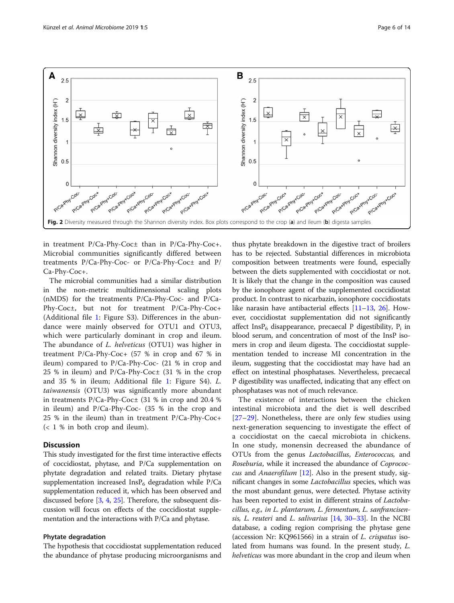<span id="page-5-0"></span>

in treatment P/Ca-Phy-Coc± than in P/Ca-Phy-Coc+. Microbial communities significantly differed between treatments P/Ca-Phy-Coc- or P/Ca-Phy-Coc± and P/ Ca-Phy-Coc+.

The microbial communities had a similar distribution in the non-metric multidimensional scaling plots (nMDS) for the treatments P/Ca-Phy-Coc- and P/Ca-Phy-Coc±, but not for treatment P/Ca-Phy-Coc+ (Additional file [1:](#page-12-0) Figure S3). Differences in the abundance were mainly observed for OTU1 and OTU3, which were particularly dominant in crop and ileum. The abundance of L. helveticus (OTU1) was higher in treatment P/Ca-Phy-Coc+ (57 % in crop and 67 % in ileum) compared to P/Ca-Phy-Coc- (21 % in crop and 25 % in ileum) and P/Ca-Phy-Coc± (31 % in the crop and 35 % in ileum; Additional file [1:](#page-12-0) Figure S4). L. taiwanensis (OTU3) was significantly more abundant in treatments P/Ca-Phy-Coc± (31 % in crop and 20.4 % in ileum) and P/Ca-Phy-Coc- (35 % in the crop and 25 % in the ileum) than in treatment P/Ca-Phy-Coc+ (< 1 % in both crop and ileum).

# **Discussion**

This study investigated for the first time interactive effects of coccidiostat, phytase, and P/Ca supplementation on phytate degradation and related traits. Dietary phytase supplementation increased  $InsP_6$  degradation while P/Ca supplementation reduced it, which has been observed and discussed before [[3,](#page-12-0) [4,](#page-12-0) [25\]](#page-13-0). Therefore, the subsequent discussion will focus on effects of the coccidiostat supplementation and the interactions with P/Ca and phytase.

# Phytate degradation

The hypothesis that coccidiostat supplementation reduced the abundance of phytase producing microorganisms and

thus phytate breakdown in the digestive tract of broilers has to be rejected. Substantial differences in microbiota composition between treatments were found, especially between the diets supplemented with coccidiostat or not. It is likely that the change in the composition was caused by the ionophore agent of the supplemented coccidiostat product. In contrast to nicarbazin, ionophore coccidiostats like narasin have antibacterial effects [\[11](#page-12-0)–[13](#page-12-0), [26](#page-13-0)]. However, coccidiostat supplementation did not significantly affect Ins $P_6$  disappearance, precaecal P digestibility,  $P_i$  in blood serum, and concentration of most of the InsP isomers in crop and ileum digesta. The coccidiostat supplementation tended to increase MI concentration in the ileum, suggesting that the coccidiostat may have had an effect on intestinal phosphatases. Nevertheless, precaecal P digestibility was unaffected, indicating that any effect on phosphatases was not of much relevance.

The existence of interactions between the chicken intestinal microbiota and the diet is well described [[27](#page-13-0)–[29\]](#page-13-0). Nonetheless, there are only few studies using next-generation sequencing to investigate the effect of a coccidiostat on the caecal microbiota in chickens. In one study, monensin decreased the abundance of OTUs from the genus Lactobacillus, Enterococcus, and Roseburia, while it increased the abundance of Coprococ-cus and Anaerofilum [\[12\]](#page-12-0). Also in the present study, significant changes in some Lactobacillus species, which was the most abundant genus, were detected. Phytase activity has been reported to exist in different strains of *Lactoba*cillus, e.g., in L. plantarum, L. fermentum, L. sanfrancisensis, L. reuteri and L. salivarius [[14](#page-12-0), [30](#page-13-0)–[33\]](#page-13-0). In the NCBI database, a coding region comprising the phytase gene (accession Nr: KQ961566) in a strain of L. crispatus isolated from humans was found. In the present study, L. helveticus was more abundant in the crop and ileum when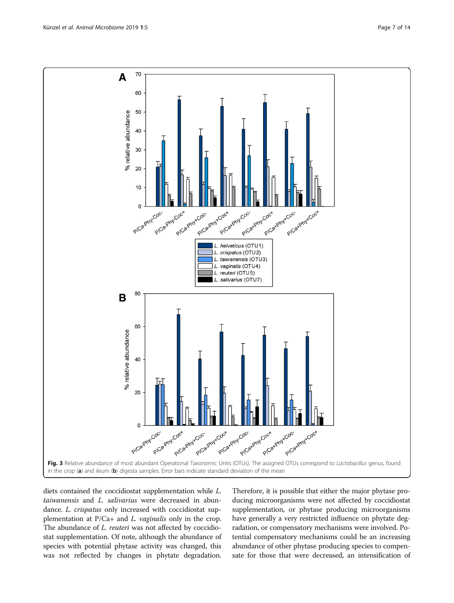<span id="page-6-0"></span>

diets contained the coccidiostat supplementation while L. taiwanensis and L. salivarius were decreased in abundance. L. crispatus only increased with coccidiostat supplementation at P/Ca+ and L. vaginalis only in the crop. The abundance of *L. reuteri* was not affected by coccidiostat supplementation. Of note, although the abundance of species with potential phytase activity was changed, this was not reflected by changes in phytate degradation. Therefore, it is possible that either the major phytase producing microorganisms were not affected by coccidiostat supplementation, or phytase producing microorganisms have generally a very restricted influence on phytate degradation, or compensatory mechanisms were involved. Potential compensatory mechanisms could be an increasing abundance of other phytase producing species to compensate for those that were decreased, an intensification of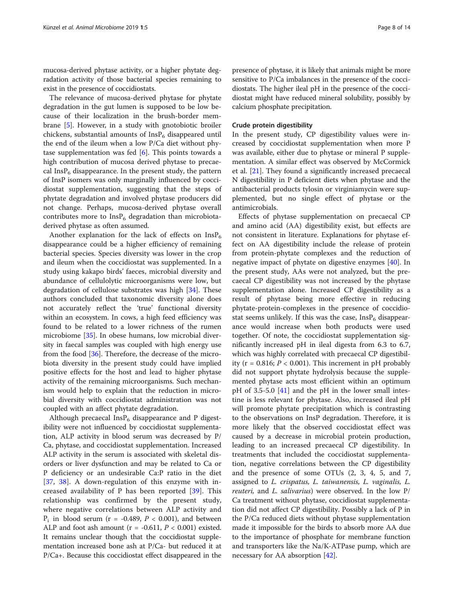mucosa-derived phytase activity, or a higher phytate degradation activity of those bacterial species remaining to exist in the presence of coccidiostats.

The relevance of mucosa-derived phytase for phytate degradation in the gut lumen is supposed to be low because of their localization in the brush-border membrane [\[5\]](#page-12-0). However, in a study with gnotobiotic broiler chickens, substantial amounts of  $InsP<sub>6</sub>$  disappeared until the end of the ileum when a low P/Ca diet without phytase supplementation was fed  $[6]$  $[6]$ . This points towards a high contribution of mucosa derived phytase to precaecal Ins $P_6$  disappearance. In the present study, the pattern of InsP isomers was only marginally influenced by coccidiostat supplementation, suggesting that the steps of phytate degradation and involved phytase producers did not change. Perhaps, mucosa-derived phytase overall contributes more to  $InsP<sub>6</sub>$  degradation than microbiotaderived phytase as often assumed.

Another explanation for the lack of effects on  $InsP<sub>6</sub>$ disappearance could be a higher efficiency of remaining bacterial species. Species diversity was lower in the crop and ileum when the coccidiostat was supplemented. In a study using kakapo birds' faeces, microbial diversity and abundance of cellulolytic microorganisms were low, but degradation of cellulose substrates was high [\[34](#page-13-0)]. These authors concluded that taxonomic diversity alone does not accurately reflect the 'true' functional diversity within an ecosystem. In cows, a high feed efficiency was found to be related to a lower richness of the rumen microbiome [\[35](#page-13-0)]. In obese humans, low microbial diversity in faecal samples was coupled with high energy use from the food [[36](#page-13-0)]. Therefore, the decrease of the microbiota diversity in the present study could have implied positive effects for the host and lead to higher phytase activity of the remaining microorganisms. Such mechanism would help to explain that the reduction in microbial diversity with coccidiostat administration was not coupled with an affect phytate degradation.

Although precaecal  $InsP_6$  disappearance and P digestibility were not influenced by coccidiostat supplementation, ALP activity in blood serum was decreased by P/ Ca, phytase, and coccidiostat supplementation. Increased ALP activity in the serum is associated with skeletal disorders or liver dysfunction and may be related to Ca or P deficiency or an undesirable Ca:P ratio in the diet [[37,](#page-13-0) [38](#page-13-0)]. A down-regulation of this enzyme with increased availability of P has been reported [[39\]](#page-13-0). This relationship was confirmed by the present study, where negative correlations between ALP activity and  $P_i$  in blood serum (r = -0.489,  $P < 0.001$ ), and between ALP and foot ash amount ( $r = -0.611$ ,  $P < 0.001$ ) existed. It remains unclear though that the coccidiostat supplementation increased bone ash at P/Ca- but reduced it at P/Ca+. Because this coccidiostat effect disappeared in the

presence of phytase, it is likely that animals might be more sensitive to P/Ca imbalances in the presence of the coccidiostats. The higher ileal pH in the presence of the coccidiostat might have reduced mineral solubility, possibly by calcium phosphate precipitation.

#### Crude protein digestibility

In the present study, CP digestibility values were increased by coccidiostat supplementation when more P was available, either due to phytase or mineral P supplementation. A similar effect was observed by McCormick et al. [[21\]](#page-12-0). They found a significantly increased precaecal N digestibility in P deficient diets when phytase and the antibacterial products tylosin or virginiamycin were supplemented, but no single effect of phytase or the antimicrobials.

Effects of phytase supplementation on precaecal CP and amino acid (AA) digestibility exist, but effects are not consistent in literature. Explanations for phytase effect on AA digestibility include the release of protein from protein-phytate complexes and the reduction of negative impact of phytate on digestive enzymes [\[40](#page-13-0)]. In the present study, AAs were not analyzed, but the precaecal CP digestibility was not increased by the phytase supplementation alone. Increased CP digestibility as a result of phytase being more effective in reducing phytate-protein-complexes in the presence of coccidiostat seems unlikely. If this was the case,  $InsP<sub>6</sub>$  disappearance would increase when both products were used together. Of note, the coccidiostat supplementation significantly increased pH in ileal digesta from 6.3 to 6.7, which was highly correlated with precaecal CP digestibility ( $r = 0.816$ ;  $P < 0.001$ ). This increment in pH probably did not support phytate hydrolysis because the supplemented phytase acts most efficient within an optimum pH of 3.5-5.0 [\[41](#page-13-0)] and the pH in the lower small intestine is less relevant for phytase. Also, increased ileal pH will promote phytate precipitation which is contrasting to the observations on InsP degradation. Therefore, it is more likely that the observed coccidiostat effect was caused by a decrease in microbial protein production, leading to an increased precaecal CP digestibility. In treatments that included the coccidiostat supplementation, negative correlations between the CP digestibility and the presence of some OTUs (2, 3, 4, 5, and 7, assigned to L. crispatus, L. taiwanensis, L. vaginalis, L. reuteri, and L. salivarius) were observed. In the low P/ Ca treatment without phytase, coccidiostat supplementation did not affect CP digestibility. Possibly a lack of P in the P/Ca reduced diets without phytase supplementation made it impossible for the birds to absorb more AA due to the importance of phosphate for membrane function and transporters like the Na/K-ATPase pump, which are necessary for AA absorption [[42](#page-13-0)].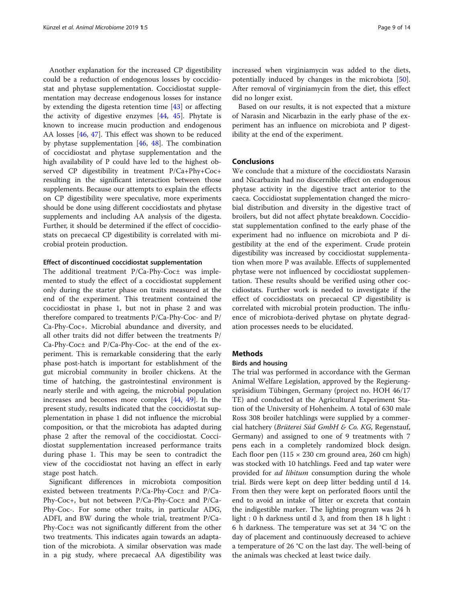Another explanation for the increased CP digestibility could be a reduction of endogenous losses by coccidiostat and phytase supplementation. Coccidiostat supplementation may decrease endogenous losses for instance by extending the digesta retention time [[43\]](#page-13-0) or affecting the activity of digestive enzymes [\[44](#page-13-0), [45\]](#page-13-0). Phytate is known to increase mucin production and endogenous AA losses [[46,](#page-13-0) [47](#page-13-0)]. This effect was shown to be reduced by phytase supplementation [\[46,](#page-13-0) [48](#page-13-0)]. The combination of coccidiostat and phytase supplementation and the high availability of P could have led to the highest observed CP digestibility in treatment P/Ca+Phy+Coc+ resulting in the significant interaction between those supplements. Because our attempts to explain the effects on CP digestibility were speculative, more experiments should be done using different coccidiostats and phytase supplements and including AA analysis of the digesta. Further, it should be determined if the effect of coccidiostats on precaecal CP digestibility is correlated with microbial protein production.

#### Effect of discontinued coccidiostat supplementation

The additional treatment P/Ca-Phy-Coc± was implemented to study the effect of a coccidiostat supplement only during the starter phase on traits measured at the end of the experiment. This treatment contained the coccidiostat in phase 1, but not in phase 2 and was therefore compared to treatments P/Ca-Phy-Coc- and P/ Ca-Phy-Coc+. Microbial abundance and diversity, and all other traits did not differ between the treatments P/ Ca-Phy-Coc± and P/Ca-Phy-Coc- at the end of the experiment. This is remarkable considering that the early phase post-hatch is important for establishment of the gut microbial community in broiler chickens. At the time of hatching, the gastrointestinal environment is nearly sterile and with ageing, the microbial population increases and becomes more complex [\[44](#page-13-0), [49](#page-13-0)]. In the present study, results indicated that the coccidiostat supplementation in phase 1 did not influence the microbial composition, or that the microbiota has adapted during phase 2 after the removal of the coccidiostat. Coccidiostat supplementation increased performance traits during phase 1. This may be seen to contradict the view of the coccidiostat not having an effect in early stage post hatch.

Significant differences in microbiota composition existed between treatments P/Ca-Phy-Coc± and P/Ca-Phy-Coc+, but not between P/Ca-Phy-Coc± and P/Ca-Phy-Coc-. For some other traits, in particular ADG, ADFI, and BW during the whole trial, treatment P/Ca-Phy-Coc± was not significantly different from the other two treatments. This indicates again towards an adaptation of the microbiota. A similar observation was made in a pig study, where precaecal AA digestibility was

increased when virginiamycin was added to the diets, potentially induced by changes in the microbiota [\[50](#page-13-0)]. After removal of virginiamycin from the diet, this effect did no longer exist.

Based on our results, it is not expected that a mixture of Narasin and Nicarbazin in the early phase of the experiment has an influence on microbiota and P digestibility at the end of the experiment.

# Conclusions

We conclude that a mixture of the coccidiostats Narasin and Nicarbazin had no discernible effect on endogenous phytase activity in the digestive tract anterior to the caeca. Coccidiostat supplementation changed the microbial distribution and diversity in the digestive tract of broilers, but did not affect phytate breakdown. Coccidiostat supplementation confined to the early phase of the experiment had no influence on microbiota and P digestibility at the end of the experiment. Crude protein digestibility was increased by coccidiostat supplementation when more P was available. Effects of supplemented phytase were not influenced by coccidiostat supplementation. These results should be verified using other coccidiostats. Further work is needed to investigate if the effect of coccidiostats on precaecal CP digestibility is correlated with microbial protein production. The influence of microbiota-derived phytase on phytate degradation processes needs to be elucidated.

# Methods

# Birds and housing

The trial was performed in accordance with the German Animal Welfare Legislation, approved by the Regierungspräsidium Tübingen, Germany (project no. HOH 46/17 TE) and conducted at the Agricultural Experiment Station of the University of Hohenheim. A total of 630 male Ross 308 broiler hatchlings were supplied by a commercial hatchery (Brüterei Süd GmbH & Co. KG, Regenstauf, Germany) and assigned to one of 9 treatments with 7 pens each in a completely randomized block design. Each floor pen  $(115 \times 230 \text{ cm} \text{ ground area}, 260 \text{ cm} \text{ high})$ was stocked with 10 hatchlings. Feed and tap water were provided for *ad libitum* consumption during the whole trial. Birds were kept on deep litter bedding until d 14. From then they were kept on perforated floors until the end to avoid an intake of litter or excreta that contain the indigestible marker. The lighting program was 24 h light : 0 h darkness until d 3, and from then 18 h light : 6 h darkness. The temperature was set at 34 °C on the day of placement and continuously decreased to achieve a temperature of 26 °C on the last day. The well-being of the animals was checked at least twice daily.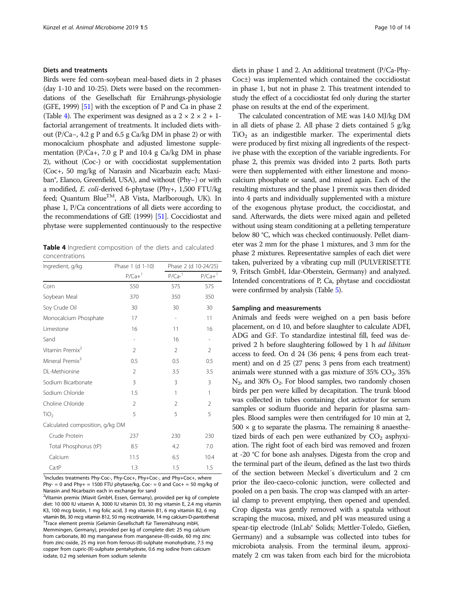# Diets and treatments

Birds were fed corn-soybean meal-based diets in 2 phases (day 1-10 and 10-25). Diets were based on the recommendations of the Gesellschaft für Ernährungs-physiologie (GFE, 1999) [[51](#page-13-0)] with the exception of P and Ca in phase 2 (Table 4). The experiment was designed as a  $2 \times 2 \times 2 + 1$ factorial arrangement of treatments. It included diets without (P/Ca−, 4.2 g P and 6.5 g Ca/kg DM in phase 2) or with monocalcium phosphate and adjusted limestone supplementation ( $P/Ca+$ , 7.0 g P and 10.4 g Ca/kg DM in phase 2), without (Coc-) or with coccidiostat supplementation (Coc+, 50 mg/kg of Narasin and Nicarbazin each; Maxiban®, Elanco, Greenfield, USA), and without (Phy−) or with a modified, E. coli-derived 6-phytase (Phy+, 1,500 FTU/kg feed; Quantum Blue<sup>TM</sup>, AB Vista, Marlborough, UK). In phase 1, P/Ca concentrations of all diets were according to the recommendations of GfE (1999) [[51](#page-13-0)]. Coccidiostat and phytase were supplemented continuously to the respective

Table 4 Ingredient composition of the diets and calculated concentrations

| Ingredient, g/kg                | Phase 1 (d 1-10)     | Phase 2 (d 10-24/25)     |                      |  |
|---------------------------------|----------------------|--------------------------|----------------------|--|
|                                 | $P/Ca+$ <sup>1</sup> | $P/Ca^{-1}$              | $P/Ca+$ <sup>1</sup> |  |
| Corn                            | 550                  | 575                      | 575                  |  |
| Soybean Meal                    | 370                  | 350                      | 350                  |  |
| Soy Crude Oil                   | 30                   | 30                       | 30                   |  |
| Monocalcium Phosphate           | 17                   | $\overline{\phantom{m}}$ | 11                   |  |
| Limestone                       | 16                   | 11                       | 16                   |  |
| Sand                            | i.                   | 16                       | $\overline{a}$       |  |
| Vitamin Premix <sup>2</sup>     | 2                    | $\mathfrak{D}$           | $\mathfrak{D}$       |  |
| Mineral Premix <sup>3</sup>     | 0.5                  | 0.5                      | 0.5                  |  |
| DL-Methionine                   | $\overline{2}$       | 3.5                      | 3.5                  |  |
| Sodium Bicarbonate              | 3                    | 3                        | 3                    |  |
| Sodium Chloride                 | 1.5                  | 1                        | 1                    |  |
| Choline Chloride                | $\mathfrak{D}$       | 2                        | 2                    |  |
| TiO <sub>2</sub>                | 5                    | 5                        | 5                    |  |
| Calculated composition, g/kg DM |                      |                          |                      |  |
| Crude Protein                   | 237                  | 230                      | 230                  |  |
| Total Phosphorus (tP)           | 8.5                  | 4.2                      | 7.0                  |  |
| Calcium                         | 11.5                 | 6.5                      | 10.4                 |  |
| $Ca$ :tP                        | 1.3                  | 1.5                      | 1.5                  |  |

<sup>1</sup>Includes treatments Phy-Coc-, Phy-Coc+, Phy+Coc-, and Phy+Coc+, where Phy- = 0 and Phy+ = 1500 FTU phytase/kg, Coc- = 0 and Coc+ = 50 mg/kg of Narasin and Nicarbazin each in exchange for sand

<sup>2</sup>Vitamin premix (Miavit GmbH, Essen, Germany), provided per kg of complete diet: 10 000 IU vitamin A, 3000 IU vitamin D3, 30 mg vitamin E, 2.4 mg vitamin K3, 100 mcg biotin, 1 mg folic acid, 3 mg vitamin B1, 6 mg vitamin B2, 6 mg vitamin B6, 30 mcg vitamin B12, 50 mg nicotinamide, 14 mg calcium-D-pantothenat 3 Trace element premix (Gelamin Gesellschaft für Tierernährung mbH, Memmingen, Germany), provided per kg of complete diet: 25 mg calcium from carbonate, 80 mg manganese from manganese-(II)-oxide, 60 mg zinc from zinc-oxide, 25 mg iron from ferrous-(II)-sulphate monohydrate, 7.5 mg copper from cupric-(II)-sulphate pentahydrate, 0.6 mg iodine from calcium iodate, 0.2 mg selenium from sodium selenite

diets in phase 1 and 2. An additional treatment (P/Ca-Phy-Coc±) was implemented which contained the coccidiostat in phase 1, but not in phase 2. This treatment intended to study the effect of a coccidiostat fed only during the starter phase on results at the end of the experiment.

The calculated concentration of ME was 14.0 MJ/kg DM in all diets of phase 2. All phase 2 diets contained 5 g/kg  $TiO<sub>2</sub>$  as an indigestible marker. The experimental diets were produced by first mixing all ingredients of the respective phase with the exception of the variable ingredients. For phase 2, this premix was divided into 2 parts. Both parts were then supplemented with either limestone and monocalcium phosphate or sand, and mixed again. Each of the resulting mixtures and the phase 1 premix was then divided into 4 parts and individually supplemented with a mixture of the exogenous phytase product, the coccidiostat, and sand. Afterwards, the diets were mixed again and pelleted without using steam conditioning at a pelleting temperature below 80 °C, which was checked continuously. Pellet diameter was 2 mm for the phase 1 mixtures, and 3 mm for the phase 2 mixtures. Representative samples of each diet were taken, pulverized by a vibrating cup mill (PULVERISETTE 9, Fritsch GmbH, Idar-Oberstein, Germany) and analyzed. Intended concentrations of P, Ca, phytase and coccidiostat were confirmed by analysis (Table [5\)](#page-10-0).

### Sampling and measurements

Animals and feeds were weighed on a pen basis before placement, on d 10, and before slaughter to calculate ADFI, ADG and G:F. To standardize intestinal fill, feed was deprived 2 h before slaughtering followed by 1 h ad libitum access to feed. On d 24 (36 pens; 4 pens from each treatment) and on d 25 (27 pens; 3 pens from each treatment) animals were stunned with a gas mixture of  $35\%$  CO<sub>2</sub>,  $35\%$  $N<sub>2</sub>$ , and 30%  $O<sub>2</sub>$ . For blood samples, two randomly chosen birds per pen were killed by decapitation. The trunk blood was collected in tubes containing clot activator for serum samples or sodium fluoride and heparin for plasma samples. Blood samples were then centrifuged for 10 min at 2,  $500 \times g$  to separate the plasma. The remaining 8 anaesthetized birds of each pen were euthanized by  $CO<sub>2</sub>$  asphyxiation. The right foot of each bird was removed and frozen at -20 °C for bone ash analyses. Digesta from the crop and the terminal part of the ileum, defined as the last two thirds of the section between Meckel´s diverticulum and 2 cm prior the ileo-caeco-colonic junction, were collected and pooled on a pen basis. The crop was clamped with an arterial clamp to prevent emptying, then opened and upended. Crop digesta was gently removed with a spatula without scraping the mucosa, mixed, and pH was measured using a spear-tip electrode (InLab® Solids; Mettler-Toledo, Gießen, Germany) and a subsample was collected into tubes for microbiota analysis. From the terminal ileum, approximately 2 cm was taken from each bird for the microbiota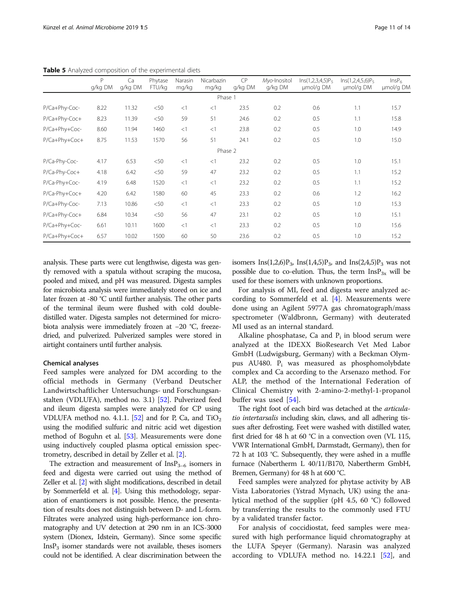|               | P<br>g/kg DM | Ca<br>g/kg DM | Phytase<br>FTU/kg | Narasin<br>mg/kg | Nicarbazin<br>mg/kg | CP<br>g/kg DM | Myo-Inositol<br>g/kg DM | $Ins(1,2,3,4,5)P_5$<br>umol/g DM | $Ins(1,2,4,5,6)P_5$<br>umol/g DM | InsP <sub>6</sub><br>µmol/g DM |
|---------------|--------------|---------------|-------------------|------------------|---------------------|---------------|-------------------------|----------------------------------|----------------------------------|--------------------------------|
|               |              |               |                   |                  | Phase 1             |               |                         |                                  |                                  |                                |
| P/Ca+Phy-Coc- | 8.22         | 11.32         | < 50              | <1               | $\lt$ 1             | 23.5          | 0.2                     | 0.6                              | 1.1                              | 15.7                           |
| P/Ca+Phy-Coc+ | 8.23         | 11.39         | < 50              | 59               | 51                  | 24.6          | 0.2                     | 0.5                              | 1.1                              | 15.8                           |
| P/Ca+Phy+Coc- | 8.60         | 11.94         | 1460              | <1               | $\leq$ 1            | 23.8          | 0.2                     | 0.5                              | 1.0                              | 14.9                           |
| P/Ca+Phy+Coc+ | 8.75         | 11.53         | 1570              | 56               | 51                  | 24.1          | 0.2                     | 0.5                              | 1.0                              | 15.0                           |
|               |              |               |                   |                  | Phase 2             |               |                         |                                  |                                  |                                |
| P/Ca-Phy-Coc- | 4.17         | 6.53          | < 50              | <1               | $\leq$ 1            | 23.2          | 0.2                     | 0.5                              | 1.0                              | 15.1                           |
| P/Ca-Phy-Coc+ | 4.18         | 6.42          | < 50              | 59               | 47                  | 23.2          | 0.2                     | 0.5                              | 1.1                              | 15.2                           |
| P/Ca-Phy+Coc- | 4.19         | 6.48          | 1520              | <1               | $\leq$ 1            | 23.2          | 0.2                     | 0.5                              | 1.1                              | 15.2                           |
| P/Ca-Phy+Coc+ | 4.20         | 6.42          | 1580              | 60               | 45                  | 23.3          | 0.2                     | 0.6                              | 1.2                              | 16.2                           |
| P/Ca+Phy-Coc- | 7.13         | 10.86         | < 50              | <1               | $\leq$ 1            | 23.3          | 0.2                     | 0.5                              | 1.0                              | 15.3                           |
| P/Ca+Phy-Coc+ | 6.84         | 10.34         | < 50              | 56               | 47                  | 23.1          | 0.2                     | 0.5                              | 1.0                              | 15.1                           |
| P/Ca+Phy+Coc- | 6.61         | 10.11         | 1600              | <1               | <1                  | 23.3          | 0.2                     | 0.5                              | 1.0                              | 15.6                           |
| P/Ca+Phy+Coc+ | 6.57         | 10.02         | 1500              | 60               | 50                  | 23.6          | 0.2                     | 0.5                              | 1.0                              | 15.2                           |

<span id="page-10-0"></span>Table 5 Analyzed composition of the experimental diets

analysis. These parts were cut lengthwise, digesta was gently removed with a spatula without scraping the mucosa, pooled and mixed, and pH was measured. Digesta samples for microbiota analysis were immediately stored on ice and later frozen at -80 °C until further analysis. The other parts of the terminal ileum were flushed with cold doubledistilled water. Digesta samples not determined for microbiota analysis were immediately frozen at −20 °C, freezedried, and pulverized. Pulverized samples were stored in airtight containers until further analysis.

#### Chemical analyses

Feed samples were analyzed for DM according to the official methods in Germany (Verband Deutscher Landwirtschaftlicher Untersuchungs- und Forschungsanstalten (VDLUFA), method no. 3.1) [[52](#page-13-0)]. Pulverized feed and ileum digesta samples were analyzed for CP using VDLUFA method no. 4.1.1. [[52](#page-13-0)] and for P, Ca, and  $TiO<sub>2</sub>$ using the modified sulfuric and nitric acid wet digestion method of Boguhn et al. [[53](#page-13-0)]. Measurements were done using inductively coupled plasma optical emission spectrometry, described in detail by Zeller et al. [\[2](#page-12-0)].

The extraction and measurement of  $InsP_{3-6}$  isomers in feed and digesta were carried out using the method of Zeller et al. [[2](#page-12-0)] with slight modifications, described in detail by Sommerfeld et al. [[4](#page-12-0)]. Using this methodology, separation of enantiomers is not possible. Hence, the presentation of results does not distinguish between D- and L-form. Filtrates were analyzed using high-performance ion chromatography and UV detection at 290 nm in an ICS-3000 system (Dionex, Idstein, Germany). Since some specific  $InsP<sub>3</sub>$  isomer standards were not available, theses isomers could not be identified. A clear discrimination between the isomers Ins(1,2,6) $P_3$ , Ins(1,4,5) $P_3$ , and Ins(2,4,5) $P_3$  was not possible due to co-elution. Thus, the term  $InsP_{3x}$  will be used for these isomers with unknown proportions.

For analysis of MI, feed and digesta were analyzed according to Sommerfeld et al. [[4\]](#page-12-0). Measurements were done using an Agilent 5977A gas chromatograph/mass spectrometer (Waldbronn, Germany) with deuterated MI used as an internal standard.

Alkaline phosphatase, Ca and  $P_i$  in blood serum were analyzed at the IDEXX BioResearch Vet Med Labor GmbH (Ludwigsburg, Germany) with a Beckman Olympus AU480. Pi was measured as phosphomolybdate complex and Ca according to the Arsenazo method. For ALP, the method of the International Federation of Clinical Chemistry with 2-amino-2-methyl-1-propanol buffer was used [[54\]](#page-13-0).

The right foot of each bird was detached at the *articula*tio intertarsalis including skin, claws, and all adhering tissues after defrosting. Feet were washed with distilled water, first dried for 48 h at 60 °C in a convection oven (VL 115, VWR International GmbH, Darmstadt, Germany), then for 72 h at 103 °C. Subsequently, they were ashed in a muffle furnace (Nabertherm L 40/11/B170, Nabertherm GmbH, Bremen, Germany) for 48 h at 600 °C.

Feed samples were analyzed for phytase activity by AB Vista Laboratories (Ystrad Mynach, UK) using the analytical method of the supplier (pH 4.5, 60 °C) followed by transferring the results to the commonly used FTU by a validated transfer factor.

For analysis of coccidiostat, feed samples were measured with high performance liquid chromatography at the LUFA Speyer (Germany). Narasin was analyzed according to VDLUFA method no. 14.22.1 [[52](#page-13-0)], and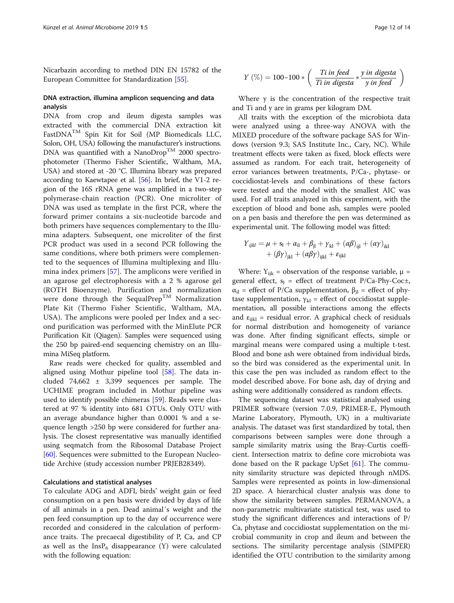Nicarbazin according to method DIN EN 15782 of the European Committee for Standardization [\[55](#page-13-0)].

# DNA extraction, illumina amplicon sequencing and data analysis

DNA from crop and ileum digesta samples was extracted with the commercial DNA extraction kit FastDNATM Spin Kit for Soil (MP Biomedicals LLC, Solon, OH, USA) following the manufacturer's instructions. DNA was quantified with a NanoDrop<sup>TM</sup> 2000 spectrophotometer (Thermo Fisher Scientific, Waltham, MA, USA) and stored at -20 °C. Illumina library was prepared according to Kaewtapee et al. [[56\]](#page-13-0). In brief, the V1-2 region of the 16S rRNA gene was amplified in a two-step polymerase-chain reaction (PCR). One microliter of DNA was used as template in the first PCR, where the forward primer contains a six-nucleotide barcode and both primers have sequences complementary to the Illumina adapters. Subsequent, one microliter of the first PCR product was used in a second PCR following the same conditions, where both primers were complemented to the sequences of Illumina multiplexing and Illumina index primers [[57\]](#page-13-0). The amplicons were verified in an agarose gel electrophoresis with a 2 % agarose gel (ROTH Bioenzyme). Purification and normalization were done through the SequalPrep<sup>TM</sup> Normalization Plate Kit (Thermo Fisher Scientific, Waltham, MA, USA). The amplicons were pooled per Index and a second purification was performed with the MinElute PCR Purification Kit (Qiagen). Samples were sequenced using the 250 bp paired-end sequencing chemistry on an Illumina MiSeq platform.

Raw reads were checked for quality, assembled and aligned using Mothur pipeline tool [[58](#page-13-0)]. The data included 74,662 ± 3,399 sequences per sample. The UCHIME program included in Mothur pipeline was used to identify possible chimeras [[59\]](#page-13-0). Reads were clustered at 97 % identity into 681 OTUs. Only OTU with an average abundance higher than 0.0001 % and a sequence length >250 bp were considered for further analysis. The closest representative was manually identified using seqmatch from the Ribosomal Database Project [[60\]](#page-13-0). Sequences were submitted to the European Nucleotide Archive (study accession number PRJEB28349).

# Calculations and statistical analyses

To calculate ADG and ADFI, birds' weight gain or feed consumption on a pen basis were divided by days of life of all animals in a pen. Dead animal´s weight and the pen feed consumption up to the day of occurrence were recorded and considered in the calculation of performance traits. The precaecal digestibility of P, Ca, and CP as well as the  $InsP_6$  disappearance (Y) were calculated with the following equation:

$$
Y\left(\%\right)=100-100*\left(\begin{array}{c|c} Ti\ in\ feed\\ Ti\ in\ digesta\end{array}*\frac{y\ in\ digesta}{y\ in\ feed}\right)
$$

Where y is the concentration of the respective trait and Ti and y are in grams per kilogram DM.

All traits with the exception of the microbiota data were analyzed using a three-way ANOVA with the MIXED procedure of the software package SAS for Windows (version 9.3; SAS Institute Inc., Cary, NC). While treatment effects were taken as fixed, block effects were assumed as random. For each trait, heterogeneity of error variances between treatments, P/Ca-, phytase- or coccidiostat-levels and combinations of these factors were tested and the model with the smallest AIC was used. For all traits analyzed in this experiment, with the exception of blood and bone ash, samples were pooled on a pen basis and therefore the pen was determined as experimental unit. The following model was fitted:

$$
Y_{ijkl} = \mu + s_{\rm l} + \alpha_{\rm il} + \beta_{\rm il} + \gamma_{\rm kl} + (\alpha \beta)_{\rm ijl} + (\alpha \gamma)_{\rm ikl} + (\beta \gamma)_{\rm jkl} + (\alpha \beta \gamma)_{\rm ijl} + \varepsilon_{\rm ijkl}
$$

Where:  $Y_{ijk}$  = observation of the response variable,  $\mu$  = general effect,  $s_1$  = effect of treatment P/Ca-Phy-Coc±,  $\alpha_{il}$  = effect of P/Ca supplementation,  $\beta_{il}$  = effect of phytase supplementation,  $\gamma_{kl}$  = effect of coccidiostat supplementation, all possible interactions among the effects and  $\varepsilon_{ijkl}$  = residual error. A graphical check of residuals for normal distribution and homogeneity of variance was done. After finding significant effects, simple or marginal means were compared using a multiple t-test. Blood and bone ash were obtained from individual birds, so the bird was considered as the experimental unit. In this case the pen was included as random effect to the model described above. For bone ash, day of drying and ashing were additionally considered as random effects.

The sequencing dataset was statistical analysed using PRIMER software (version 7.0.9, PRIMER-E, Plymouth Marine Laboratory, Plymouth, UK) in a multivariate analysis. The dataset was first standardized by total, then comparisons between samples were done through a sample similarity matrix using the Bray-Curtis coefficient. Intersection matrix to define core microbiota was done based on the R package UpSet  $[61]$  $[61]$ . The community similarity structure was depicted through nMDS. Samples were represented as points in low-dimensional 2D space. A hierarchical cluster analysis was done to show the similarity between samples. PERMANOVA, a non-parametric multivariate statistical test, was used to study the significant differences and interactions of P/ Ca, phytase and coccidiostat supplementation on the microbial community in crop and ileum and between the sections. The similarity percentage analysis (SIMPER) identified the OTU contribution to the similarity among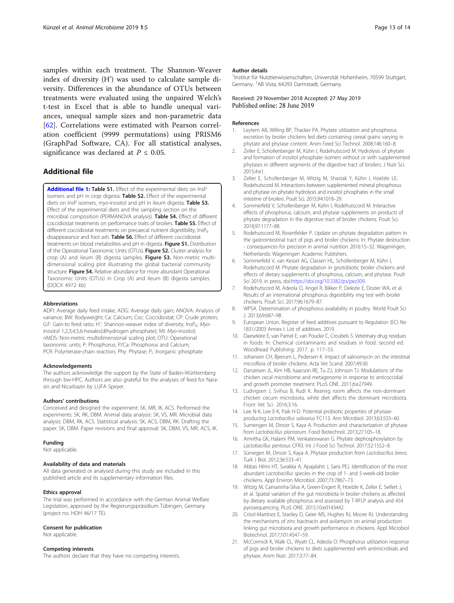<span id="page-12-0"></span>samples within each treatment. The Shannon-Weaver index of diversity (H') was used to calculate sample diversity. Differences in the abundance of OTUs between treatments were evaluated using the unpaired Welch's t-test in Excel that is able to handle unequal variances, unequal sample sizes and non-parametric data [[62\]](#page-13-0). Correlations were estimated with Pearson correlation coefficient (9999 permutations) using PRISM6 (GraphPad Software, CA). For all statistical analyses, significance was declared at  $P \leq 0.05$ .

# Additional file

[Additional file 1:](https://doi.org/10.1186/s42523-019-0006-2) Table S1. Effect of the experimental diets on InsP isomers and pH in crop digesta. Table S2. Effect of the experimental diets on InsP isomers, myo-inositol and pH in ileum digesta. Table S3. Effect of the experimental diets and the sampling section on the microbial composition (PERMANOVA analysis). Table S4. Effect of different coccidiostat treatments on performance traits of broilers. Table S5. Effect of different coccidiostat treatments on precaecal nutrient digestibility, InsP<sub>6</sub> disappearance and foot ash. Table S6. Effect of different coccidiostat treatments on blood metabolites and pH in digesta. Figure S1. Distribution of the Operational Taxonomic Units (OTUs). Figure S2. Cluster analysis for crop (A) and ileum (B) digesta samples. Figure S3. Non-metric multidimensional scaling plot illustrating the global bacterial community structure. Figure S4. Relative abundance for more abundant Operational Taxonomic Units (OTUs) in Crop (A) and ileum (B) digesta samples. (DOCX 4972 kb)

#### Abbreviations

ADFI: Average daily feed intake; ADG: Average daily gain; ANOVA: Analysis of variance; BW: Bodyweight; Ca: Calcium; Coc: Coccidiostat; CP: Crude protein; G:F: Gain-to feed ratio; H': Shannon-weaver index of diversity; InsP<sub>6</sub>: Myoinositol 1,2,3,4,5,6-hexakis(dihydrogen phosphate); MI: Myo-inositol; nMDS: Non-metric multidimensional scaling plot; OTU: Operational taxonomic units; P: Phosphorus; P/Ca: Phosphorus and Calcium; PCR: Polymerase-chain reaction; Phy: Phytase; P<sub>i</sub>: Inorganic phosphate

#### Acknowledgements

The authors acknowledge the support by the State of Baden-Württemberg through bw-HPC. Authors are also grateful for the analyses of feed for Narasin and Nicarbazin by LUFA Speyer.

#### Authors' contributions

Conceived and designed the experiment: SK, MR, IK, ACS. Performed the experiments: SK, RK, DBM. Animal data analysis: SK, VS, MR. Microbial data analysis: DBM, RK, ACS. Statistical analysis: SK, ACS, DBM, RK. Drafting the paper: SK, DBM. Paper revisions and final approval: SK, DBM, VS, MR, ACS, IK.

#### Funding

Not applicable.

## Availability of data and materials

All data generated or analysed during this study are included in this published article and its supplementary information files.

#### Ethics approval

The trial was performed in accordance with the German Animal Welfare Legislation, approved by the Regierungspräsidium Tübingen, Germany (project no. HOH 46/17 TE).

#### Consent for publication

Not applicable.

#### Competing interests

The authors declare that they have no competing interests.

#### Author details

1 Institut für Nutztierwissenschaften, Universität Hohenheim, 70599 Stuttgart, Germany. <sup>2</sup>AB Vista, 64293 Darmstadt, Germany.

#### Received: 29 November 2018 Accepted: 27 May 2019 Published online: 28 June 2019

#### References

- 1. Leytem AB, Willing BP, Thacker PA. Phytate utilization and phosphorus excretion by broiler chickens fed diets containing cereal grains varying in phytate and phytase content. Anim Feed Sci Technol. 2008;146:160–8.
- 2. Zeller E, Schollenberger M, Kühn I, Rodehutscord M. Hydrolysis of phytate and formation of inositol phosphate isomers without or with supplemented phytases in different segments of the digestive tract of broilers. J Nutr Sci. 2015;4:e1.
- 3. Zeller E, Schollenberger M, Witzig M, Shastak Y, Kühn I, Hoelzle LE, Rodehutscord M. Interactions between supplemented mineral phosphorus and phytase on phytate hydrolysis and inositol phosphates in the small intestine of broilers. Poult Sci. 2015;94:1018–29.
- 4. Sommerfeld V, Schollenberger M, Kühn I, Rodehutscord M. Interactive effects of phosphorus, calcium, and phytase supplements on products of phytate degradation in the digestive tract of broiler chickens. Poult Sci. 2018;97:1177–88.
- 5. Rodehutscord M, Rosenfelder P. Update on phytate degradation pattern in the gastrointestinal tract of pigs and broiler chickens: In: Phytate destruction - consequences for precision in animal nutrition 2016:15–32. Wageningen, Netherlands: Wageningen Academic Publishers.
- 6. Sommerfeld V, van Kessel AG, Classen HL, Schollenberger M, Kühn I, Rodehutscord M. Phytate degradation in gnotobiotic broiler chickens and effects of dietary supplements of phosphorus, calcium, and phytase. Poult Sci 2019, in press, doi[:https://doi.org/10.3382/ps/pez309.](https://doi.org/10.3382/ps/pez309)
- 7. Rodehutscord M, Adeola O, Angel R, Bikker P, Delezie E, Dozier WA, et al. Results of an international phosphorus digestibility ring test with broiler chickens. Poult Sci. 2017;96:1679–87.
- 8. WPSA. Determination of phosphorus availability in poultry. World Poult Sci J. 2013;69:687–98.
- 9. European Union. Register of feed additives pursuant to Regulation (EC) No 1831/2003 Annex I: List of additives. 2019.
- 10. Daeseleire E, van Pamel E, van Poucke C, Croubels S. Veterinary drug residues in foods: In: Chemical contaminants and residues in food. second ed: Woodhead Publishing; 2017. p. 117–53.
- 11. Johansen CH, Bjerrum L, Pedersen K. Impact of salinomycin on the intestinal microflora of broiler chickens. Acta Vet Scand. 2007;49:30.
- 12. Danzeisen JL, Kim HB, Isaacson RE, Tu ZJ, Johnson TJ. Modulations of the chicken cecal microbiome and metagenome in response to anticoccidial and growth promoter treatment. PLoS ONE. 2011;6:e27949.
- 13. Ludvigsen J, Svihus B, Rudi K. Rearing room affects the non-dominant chicken cecum microbiota, while diet affects the dominant microbiota. Front Vet Sci. 2016;3:16.
- 14. Lee N-K, Lee E-K, Paik H-D. Potential probiotic properties of phytaseproducing Lactobacillus salivarius FC113. Ann Microbiol. 2013;63:555–60.
- 15. Sumengen M, Dincer S, Kaya A. Production and characterization of phytase from Lactobacillus plantarum. Food Biotechnol. 2013;27:105–18.
- 16. Amritha GK, Halami PM, Venkateswaran G. Phytate dephosphorylation by Lactobacillus pentosus CFR3. Int J Food Sci Technol. 2017;52:1552–8.
- 17. Sümegen M, Dincer S, Kaya A. Phytase production from Lactobacillus brevis. Turk J Biol. 2012;36:533–41.
- 18. Abbas Hilmi HT, Surakka A, Apajalahti J, Saris PEJ. Identification of the most abundant Lactobacillus species in the crop of 1- and 5-week-old broiler chickens. Appl Environ Microbiol. 2007;73:7867–73.
- 19. Witzig M, Camarinha-Silva A, Green-Engert R, Hoelzle K, Zeller E, Seifert J, et al. Spatial variation of the gut microbiota in broiler chickens as affected by dietary available phosphorus and assessed by T-RFLP analysis and 454 pyrosequencing. PLoS ONE. 2015;10:e0143442.
- 20. Crisol-Martínez E, Stanley D, Geier MS, Hughes RJ, Moore RJ. Understanding the mechanisms of zinc bacitracin and avilamycin on animal production: linking gut microbiota and growth performance in chickens. Appl Microbiol Biotechnol. 2017;101:4547–59.
- 21. McCormick K, Walk CL, Wyatt CL, Adeola O. Phosphorus utilization response of pigs and broiler chickens to diets supplemented with antimicrobials and phytase. Anim Nutr. 2017;3:77–84.